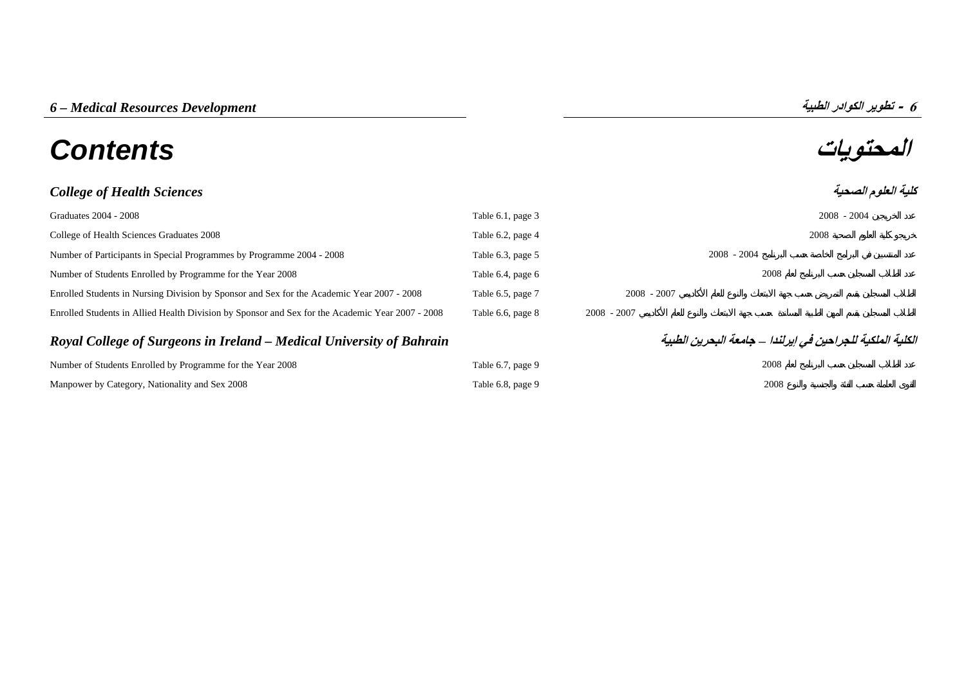# **المحتويات** *Contents*

## *College of Health Sciences*

| Graduates 2004 - 2008                                                                            | Table 6.1, page 3 |               | $2008 - 2004$ |
|--------------------------------------------------------------------------------------------------|-------------------|---------------|---------------|
| College of Health Sciences Graduates 2008                                                        | Table 6.2, page 4 |               | 2008          |
| Number of Participants in Special Programmes by Programme 2004 - 2008                            | Table 6.3, page 5 |               | $2008 - 2004$ |
| Number of Students Enrolled by Programme for the Year 2008                                       | Table 6.4, page 6 |               | 2008          |
| Enrolled Students in Nursing Division by Sponsor and Sex for the Academic Year 2007 - 2008       | Table 6.5, page 7 | $2008 - 2007$ |               |
| Enrolled Students in Allied Health Division by Sponsor and Sex for the Academic Year 2007 - 2008 | Table 6.6, page 8 | $2008 - 2007$ |               |

# *Royal College of Surgeons in Ireland – Medical University of Bahrain* **الطبية البحرين جامعة – إيرلندا في للجراحين الملكية الكلية**

| Number of Students Enrolled by Programme for the Year 2008 | Table 6.7, page 9 | 2008 |
|------------------------------------------------------------|-------------------|------|
| Manpower by Category, Nationality and Sex 2008             | Table 6.8, page 9 | 2008 |

**6**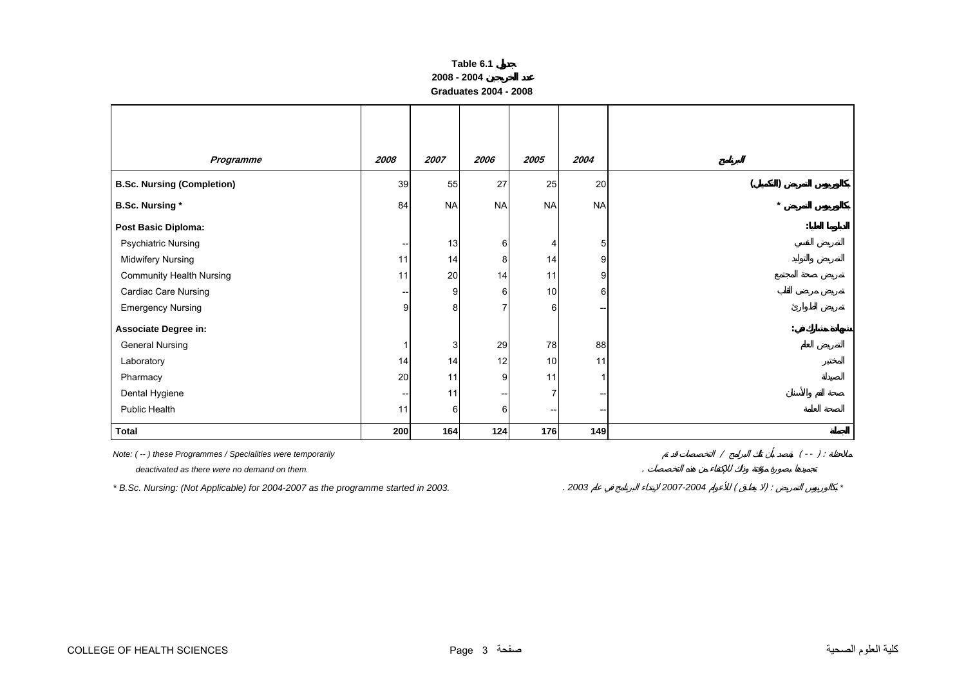| Table 6.1             |
|-----------------------|
| 2008 - 2004           |
| Graduates 2004 - 2008 |

<span id="page-1-0"></span>

| Programme                         | 2008                     | 2007      | 2006      | 2005                     | 2004           |
|-----------------------------------|--------------------------|-----------|-----------|--------------------------|----------------|
| <b>B.Sc. Nursing (Completion)</b> | 39                       | 55        | 27        | 25                       | 20             |
| <b>B.Sc. Nursing *</b>            | 84                       | <b>NA</b> | <b>NA</b> | <b>NA</b>                | <b>NA</b>      |
| <b>Post Basic Diploma:</b>        |                          |           |           |                          |                |
| <b>Psychiatric Nursing</b>        | $\overline{\phantom{a}}$ | 13        | 6         | 4                        | 5              |
| Midwifery Nursing                 | 11                       | 14        | 8         | 14                       | 9              |
| <b>Community Health Nursing</b>   | 11                       | 20        | 14        | 11                       | 9              |
| Cardiac Care Nursing              | --                       | 9         | 6         | 10                       | 6 <sub>1</sub> |
| <b>Emergency Nursing</b>          | 9                        | 8         |           | 6                        |                |
| Associate Degree in:              |                          |           |           |                          |                |
| <b>General Nursing</b>            |                          | 3         | 29        | 78                       | 88             |
| Laboratory                        | 14                       | 14        | 12        | 10                       | 11             |
| Pharmacy                          | $20\,$                   | 11        | 9         | 11                       |                |
| Dental Hygiene                    | --                       | 11        |           | $\overline{7}$           |                |
| Public Health                     | 11                       | $6 \mid$  | 6         | $\overline{\phantom{a}}$ |                |
| <b>Total</b>                      | 200                      | 164       | 124       | 176                      | 149            |

| Note: (--) these Programmes / Specialities were temporarily |  |  |
|-------------------------------------------------------------|--|--|
| deactivated as there were no demand on them.                |  |  |

*\* B.Sc. Nursing: (Not Applicable) for 2004-2007 as the programme started in 2003.* . *<sup>2003</sup> 2007-2004* ( ) : *\**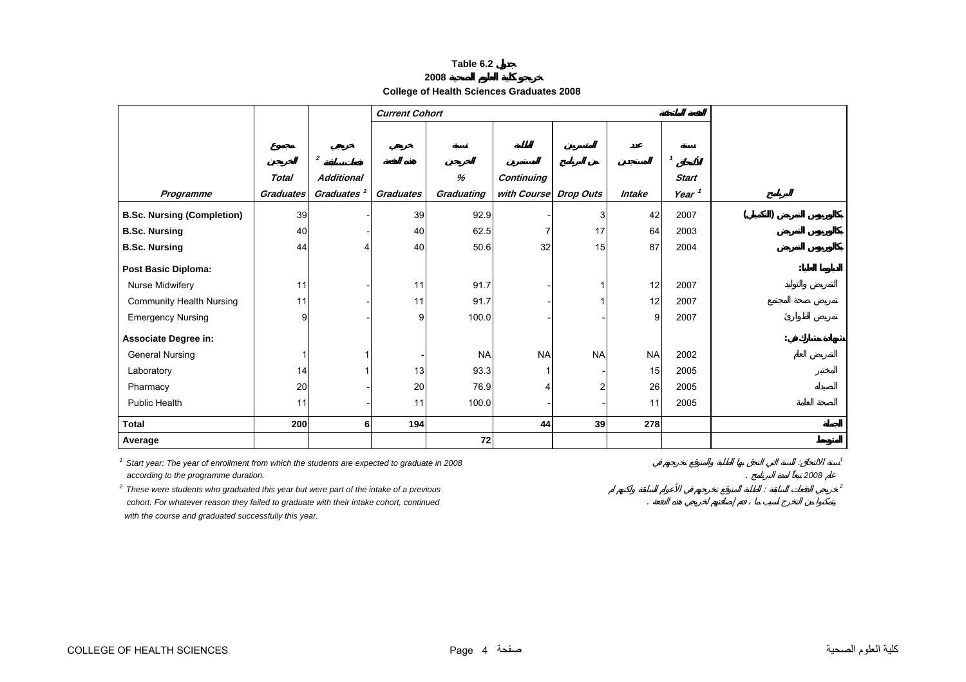| able 6.2 |  |  |
|----------|--|--|
|----------|--|--|

**College of Health Sciences Graduates 2008** 

<span id="page-2-0"></span>

|                                   |                  |                        | <b>Current Cohort</b> |            |                       |           |               |                   |  |
|-----------------------------------|------------------|------------------------|-----------------------|------------|-----------------------|-----------|---------------|-------------------|--|
|                                   |                  |                        |                       |            |                       |           |               |                   |  |
|                                   |                  |                        |                       |            |                       |           |               |                   |  |
|                                   |                  | $\boldsymbol{2}$       |                       |            |                       |           |               | $\mathbf{1}$      |  |
|                                   | <b>Total</b>     | <b>Additional</b>      |                       | %          | <b>Continuing</b>     |           |               | <b>Start</b>      |  |
| Programme                         | <b>Graduates</b> | Graduates <sup>2</sup> | <b>Graduates</b>      | Graduating | with Course Drop Outs |           | <b>Intake</b> | Year <sup>1</sup> |  |
| <b>B.Sc. Nursing (Completion)</b> | 39               |                        | 39                    | 92.9       |                       | 3         | 42            | 2007              |  |
| <b>B.Sc. Nursing</b>              | 40               |                        | 40                    | 62.5       | 7                     | 17        | 64            | 2003              |  |
| <b>B.Sc. Nursing</b>              | 44               |                        | 40                    | 50.6       | 32                    | 15        | 87            | 2004              |  |
| <b>Post Basic Diploma:</b>        |                  |                        |                       |            |                       |           |               |                   |  |
| Nurse Midwifery                   | 11               |                        | 11                    | 91.7       |                       |           | 12            | 2007              |  |
| <b>Community Health Nursing</b>   | 11               |                        | 11                    | 91.7       |                       |           | 12            | 2007              |  |
| <b>Emergency Nursing</b>          | 9                |                        | 9                     | 100.0      |                       |           | 9             | 2007              |  |
| <b>Associate Degree in:</b>       |                  |                        |                       |            |                       |           |               |                   |  |
| <b>General Nursing</b>            |                  |                        |                       | <b>NA</b>  | <b>NA</b>             | <b>NA</b> | <b>NA</b>     | 2002              |  |
| Laboratory                        | 14               |                        | 13                    | 93.3       | 1                     |           | 15            | 2005              |  |
| Pharmacy                          | 20               |                        | 20                    | 76.9       | 4                     | 2         | 26            | 2005              |  |
| <b>Public Health</b>              | 11               |                        | 11                    | 100.0      |                       |           | 11            | 2005              |  |
| <b>Total</b>                      | 200              | 6                      | 194                   |            | 44                    | 39        | 278           |                   |  |
| Average                           |                  |                        |                       | 72         |                       |           |               |                   |  |

*1 Start year: The year of enrollment from which the students are expected to graduate in 2008* : *<sup>1</sup> according to the programme duration.* . *2008*

<sup>2</sup> These were students who graduated this year but were part of the intake of a previous *2* These were students who graduated this year but were part of the intake of a previous  *cohort. For whatever reason they failed to graduate with their intake cohort, continued* .  *with the course and graduated successfully this year.*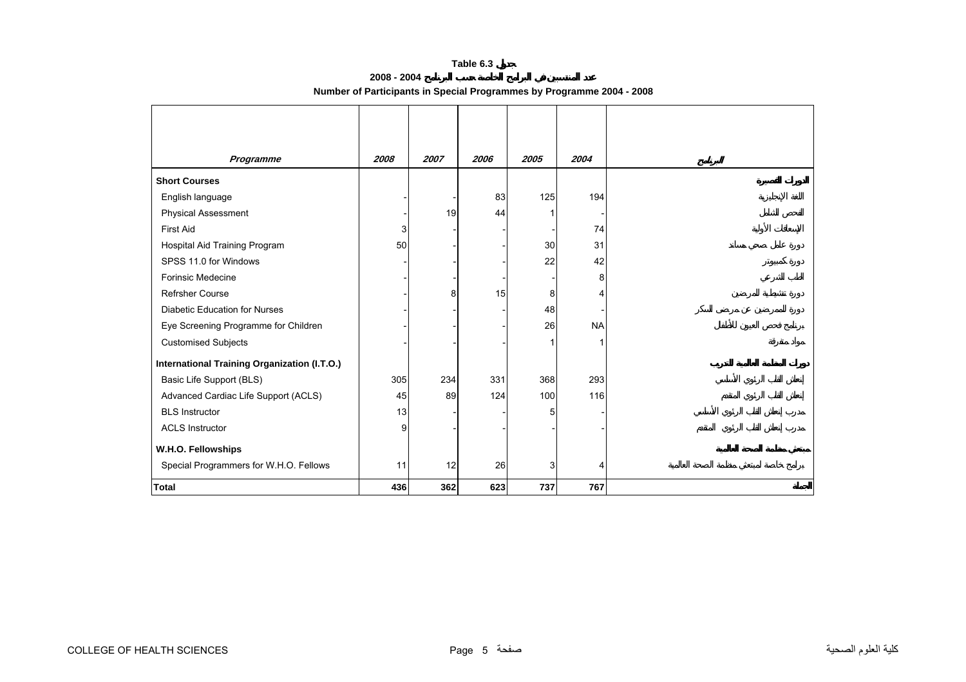#### **Table 6.3**

| 2008 - 2004                                                           |  |
|-----------------------------------------------------------------------|--|
| Number of Participants in Special Programmes by Programme 2004 - 2008 |  |

<span id="page-3-0"></span>

| Programme                                           | 2008 | 2007 | 2006 | 2005 | 2004      |
|-----------------------------------------------------|------|------|------|------|-----------|
| <b>Short Courses</b>                                |      |      |      |      |           |
| English language                                    |      |      | 83   | 125  | 194       |
| <b>Physical Assessment</b>                          |      | 19   | 44   |      |           |
| <b>First Aid</b>                                    | 3    |      |      |      | 74        |
| Hospital Aid Training Program                       | 50   |      |      | 30   | 31        |
| SPSS 11.0 for Windows                               |      |      |      | 22   | 42        |
| <b>Forinsic Medecine</b>                            |      |      |      |      | 8         |
| <b>Refrsher Course</b>                              |      | 8    | 15   | 8    | 4         |
| <b>Diabetic Education for Nurses</b>                |      |      |      | 48   |           |
| Eye Screening Programme for Children                |      |      |      | 26   | <b>NA</b> |
| <b>Customised Subjects</b>                          |      |      |      |      |           |
| <b>International Training Organization (I.T.O.)</b> |      |      |      |      |           |
| Basic Life Support (BLS)                            | 305  | 234  | 331  | 368  | 293       |
| Advanced Cardiac Life Support (ACLS)                | 45   | 89   | 124  | 100  | 116       |
| <b>BLS Instructor</b>                               | 13   |      |      | 5    |           |
| <b>ACLS Instructor</b>                              | 9    |      |      |      |           |
| W.H.O. Fellowships                                  |      |      |      |      |           |
| Special Programmers for W.H.O. Fellows              | 11   | 12   | 26   | 3    | 4         |
| <b>Total</b>                                        | 436  | 362  | 623  | 737  | 767       |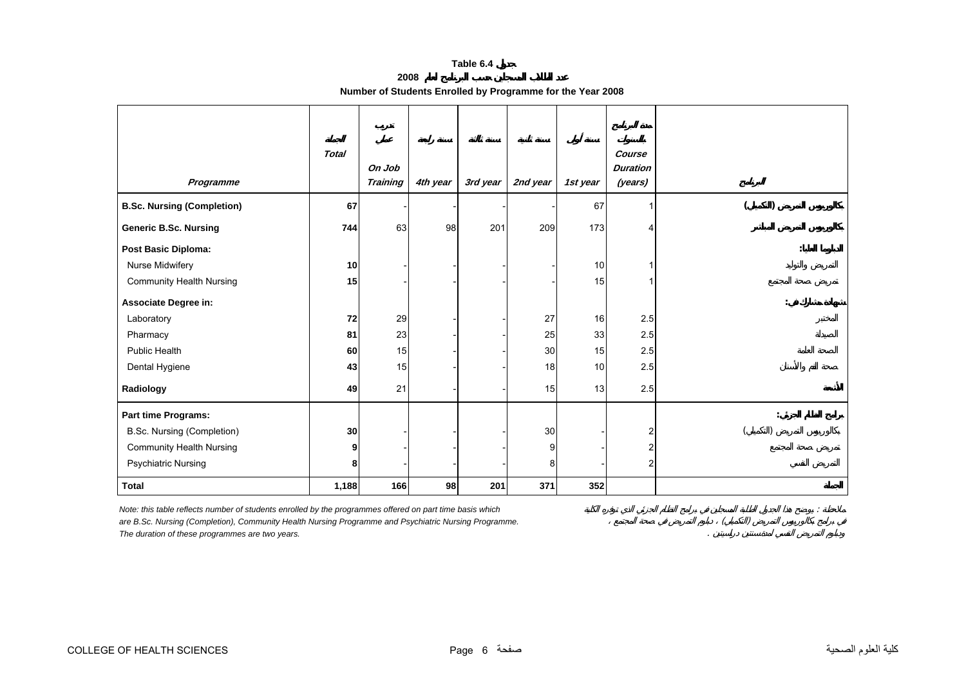#### **Table 6.4**

| 2008                                                       |  |  |
|------------------------------------------------------------|--|--|
| Number of Students Enrolled by Programme for the Year 2008 |  |  |

<span id="page-4-0"></span>

| Programme                         | <b>Total</b>    | On Job<br><b>Training</b> | 4th year | 3rd year | 2nd year | 1st year        | Course<br><b>Duration</b><br>(years) |  |
|-----------------------------------|-----------------|---------------------------|----------|----------|----------|-----------------|--------------------------------------|--|
| <b>B.Sc. Nursing (Completion)</b> | 67              |                           |          |          |          | 67              | 1                                    |  |
| <b>Generic B.Sc. Nursing</b>      | 744             | 63                        | 98       | 201      | 209      | 173             | 4                                    |  |
| Post Basic Diploma:               |                 |                           |          |          |          |                 |                                      |  |
| Nurse Midwifery                   | 10 <sub>1</sub> |                           |          |          |          | 10              |                                      |  |
| <b>Community Health Nursing</b>   | 15              |                           |          |          |          | 15              |                                      |  |
| Associate Degree in:              |                 |                           |          |          |          |                 |                                      |  |
| Laboratory                        | 72              | 29                        |          |          | 27       | 16              | 2.5                                  |  |
| Pharmacy                          | 81              | 23                        |          |          | 25       | 33              | 2.5                                  |  |
| Public Health                     | 60              | 15                        |          |          | 30       | 15              | 2.5                                  |  |
| Dental Hygiene                    | 43              | 15                        |          |          | 18       | 10 <sup>1</sup> | 2.5                                  |  |
| Radiology                         | 49              | 21                        |          |          | 15       | 13              | 2.5                                  |  |
| Part time Programs:               |                 |                           |          |          |          |                 |                                      |  |
| <b>B.Sc. Nursing (Completion)</b> | 30              |                           |          |          | 30       |                 | 2                                    |  |
| <b>Community Health Nursing</b>   | 9               |                           |          |          | 9        |                 | 2                                    |  |
| <b>Psychiatric Nursing</b>        | 8               |                           |          |          | 8        |                 | 2                                    |  |
| <b>Total</b>                      | 1,188           | 166                       | 98       | 201      | 371      | 352             |                                      |  |

*Note: this table reflects number of students enrolled by the programmes offered on part time basis which*<br>are B.Sc. Nursing (Completion), Community Health Nursing Programme and Psychiatric Nursing Programme.<br>The duration are B.Sc. Nursing (Completion), Community Health Nursing Programme and Psychiatric Nursing Programme.

*The duration of these programmes are two years.* .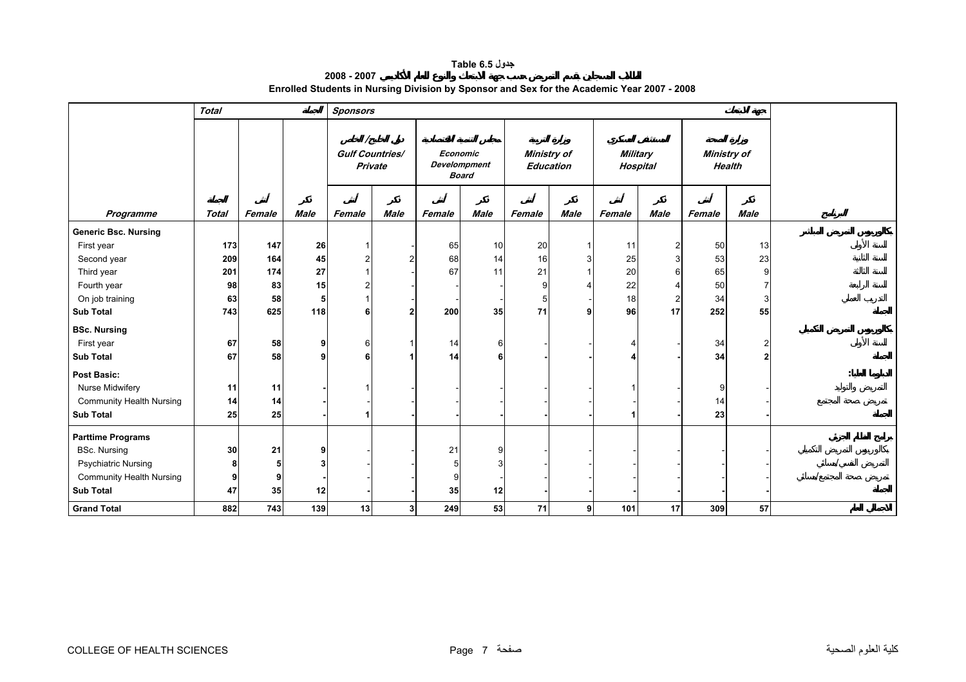#### **جدول 6.5 Table**

**2008 - 2007 Enrolled Students in Nursing Division by Sponsor and Sex for the Academic Year 2007 - 2008** 

<span id="page-5-0"></span>

|                                 | <b>Total</b> |        |             | <b>Sponsors</b>                   |             |          |                                     |                                        |                |                 |                |                              |             |  |
|---------------------------------|--------------|--------|-------------|-----------------------------------|-------------|----------|-------------------------------------|----------------------------------------|----------------|-----------------|----------------|------------------------------|-------------|--|
|                                 |              |        |             | <b>Gulf Countries/</b><br>Private |             | Economic | <b>Develompment</b><br><b>Board</b> | <b>Ministry of</b><br><b>Education</b> |                | <b>Military</b> | Hospital       | Ministry of<br><b>Health</b> |             |  |
| Programme                       | <b>Total</b> | Female | <b>Male</b> | Female                            | <b>Male</b> | Female   | <b>Male</b>                         | Female                                 | <b>Male</b>    | Female          | <b>Male</b>    | Female                       | <b>Male</b> |  |
| <b>Generic Bsc. Nursing</b>     |              |        |             |                                   |             |          |                                     |                                        |                |                 |                |                              |             |  |
| First year                      | 173          | 147    | 26          |                                   |             | 65       | 10                                  | 20                                     |                | 11              | $\overline{2}$ | 50                           | 13          |  |
| Second year                     | 209          | 164    | 45          |                                   |             | 68       | 14                                  | 16                                     | 3              | 25              | 3              | 53                           | 23          |  |
| Third year                      | 201          | 174    | 27          |                                   |             | 67       | 11                                  | 21                                     |                | 20              | 6              | 65                           | 9           |  |
| Fourth year                     | 98           | 83     | 15          |                                   |             |          |                                     | 9                                      |                | 22              |                | 50                           |             |  |
| On job training                 | 63           | 58     | 5           |                                   |             |          |                                     | 5                                      |                | 18              | 2              | 34                           | 3           |  |
| <b>Sub Total</b>                | 743          | 625    | 118         |                                   |             | 200      | 35                                  | 71                                     | 9              | 96              | 17             | 252                          | 55          |  |
| <b>BSc. Nursing</b>             |              |        |             |                                   |             |          |                                     |                                        |                |                 |                |                              |             |  |
| First year                      | 67           | 58     | 9           | 6                                 |             | 14       | 6                                   |                                        |                |                 |                | 34                           | 2           |  |
| <b>Sub Total</b>                | 67           | 58     | 9           |                                   |             | 14       |                                     |                                        |                |                 |                | 34                           |             |  |
| <b>Post Basic:</b>              |              |        |             |                                   |             |          |                                     |                                        |                |                 |                |                              |             |  |
| Nurse Midwifery                 | 11           | 11     |             |                                   |             |          |                                     |                                        |                |                 |                | 9                            |             |  |
| <b>Community Health Nursing</b> | 14           | 14     |             |                                   |             |          |                                     |                                        |                |                 |                | 14                           |             |  |
| <b>Sub Total</b>                | 25           | 25     |             |                                   |             |          |                                     |                                        |                |                 |                | 23                           |             |  |
| <b>Parttime Programs</b>        |              |        |             |                                   |             |          |                                     |                                        |                |                 |                |                              |             |  |
| <b>BSc. Nursing</b>             | 30           | 21     | 9           |                                   |             | 21       |                                     |                                        |                |                 |                |                              |             |  |
| <b>Psychiatric Nursing</b>      | 8            | 5      |             |                                   |             | 5        |                                     |                                        |                |                 |                |                              |             |  |
| <b>Community Health Nursing</b> | 9            | 9      |             |                                   |             | 9        |                                     |                                        |                |                 |                |                              |             |  |
| <b>Sub Total</b>                | 47           | 35     | 12          |                                   |             | 35       | 12                                  |                                        |                |                 |                |                              |             |  |
| <b>Grand Total</b>              | 882          | 743    | 139         | 13                                | 3           | 249      | 53                                  | 71                                     | 9 <sup>1</sup> | 101             | 17             | 309                          | 57          |  |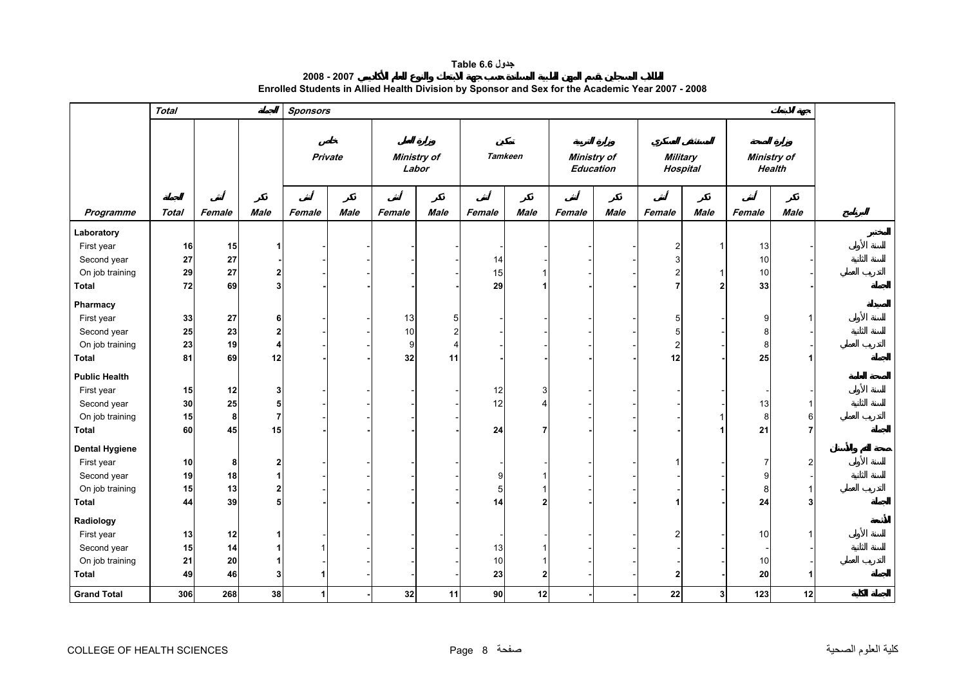### **جدول 6.6 Table**

| 2008 - 2007 |                                                                                                  |
|-------------|--------------------------------------------------------------------------------------------------|
|             | Enrolled Students in Allied Health Division by Sponsor and Sex for the Academic Year 2007 - 2008 |

<span id="page-6-0"></span>

|                       | <b>Total</b> |        |                | <b>Sponsors</b> |      |        |                |                |                |        |                  |                 |                |                    |               |  |
|-----------------------|--------------|--------|----------------|-----------------|------|--------|----------------|----------------|----------------|--------|------------------|-----------------|----------------|--------------------|---------------|--|
|                       |              |        |                | Private         |      |        | Ministry of    |                | <b>Tamkeen</b> |        | Ministry of      | <b>Military</b> |                | <b>Ministry of</b> |               |  |
|                       |              |        |                |                 |      | Labor  |                |                |                |        | <b>Education</b> | Hospital        |                |                    | <b>Health</b> |  |
|                       |              |        |                |                 |      |        |                |                |                |        |                  |                 |                |                    |               |  |
| Programme             | <b>Total</b> | Female | <b>Male</b>    | Female          | Male | Female | <b>Male</b>    | Female         | <b>Male</b>    | Female | <b>Male</b>      | Female          | Male           | Female             | <b>Male</b>   |  |
| Laboratory            |              |        |                |                 |      |        |                |                |                |        |                  |                 |                |                    |               |  |
| First year            | 16           | 15     |                |                 |      |        |                |                |                |        |                  | $\overline{2}$  | -1             | 13                 |               |  |
| Second year           | 27           | 27     |                |                 |      |        |                | 14             |                |        |                  | 3               |                | 10                 |               |  |
| On job training       | ${\bf 29}$   | 27     | $\mathbf{2}$   |                 |      |        |                | 15             | 1              |        |                  | $\overline{2}$  | -1             | 10                 |               |  |
| <b>Total</b>          | 72           | 69     | 3 <sup>1</sup> |                 |      |        |                | 29             | 1              |        |                  | 7               | $\overline{2}$ | 33                 |               |  |
| Pharmacy              |              |        |                |                 |      |        |                |                |                |        |                  |                 |                |                    |               |  |
| First year            | 33           | 27     | 6              |                 |      | 13     | 5              |                |                |        |                  | 5               |                | 9                  |               |  |
| Second year           | 25           | 23     | $\mathbf{2}$   |                 |      | 10     | $\overline{2}$ |                |                |        |                  | 5               |                | 8                  |               |  |
| On job training       | 23           | 19     | 4              |                 |      | 9      | 4              |                |                |        |                  | $\overline{2}$  |                | 8                  |               |  |
| <b>Total</b>          | 81           | 69     | 12             |                 |      | 32     | 11             |                |                |        |                  | 12              |                | 25                 |               |  |
| <b>Public Health</b>  |              |        |                |                 |      |        |                |                |                |        |                  |                 |                |                    |               |  |
| First year            | 15           | 12     | 3              |                 |      |        |                | 12             | 3              |        |                  |                 |                |                    |               |  |
| Second year           | 30           | 25     | 5              |                 |      |        |                | 12             | 4              |        |                  |                 |                | 13                 |               |  |
| On job training       | 15           | 8      | $\overline{7}$ |                 |      |        |                |                |                |        |                  |                 |                | 8                  | 6             |  |
| <b>Total</b>          | 60           | 45     | 15             |                 |      |        |                | 24             | 7              |        |                  |                 |                | 21                 |               |  |
| <b>Dental Hygiene</b> |              |        |                |                 |      |        |                |                |                |        |                  |                 |                |                    |               |  |
| First year            | 10           | 8      | $\mathbf{2}$   |                 |      |        |                |                |                |        |                  |                 |                | 7                  | 2             |  |
| Second year           | 19           | 18     | 1              |                 |      |        |                | 9              |                |        |                  |                 |                | 9                  |               |  |
| On job training       | 15           | 13     | $\mathbf{2}$   |                 |      |        |                | $\overline{5}$ |                |        |                  |                 |                | 8                  |               |  |
| Total                 | 44           | 39     | 5              |                 |      |        |                | 14             | $\mathbf{2}$   |        |                  |                 |                | ${\bf 24}$         | 3             |  |
| Radiology             |              |        |                |                 |      |        |                |                |                |        |                  |                 |                |                    |               |  |
| First year            | 13           | 12     |                |                 |      |        |                |                |                |        |                  | 2               |                | 10                 |               |  |
| Second year           | 15           | 14     | 1              |                 |      |        |                | 13             |                |        |                  |                 |                |                    |               |  |
| On job training       | 21           | 20     | 1              |                 |      |        |                | 10             |                |        |                  |                 |                | 10                 |               |  |
| <b>Total</b>          | 49           | 46     | 3 <sup>1</sup> |                 |      |        |                | 23             | $\mathbf{2}$   |        |                  | $\overline{2}$  |                | 20                 |               |  |
| <b>Grand Total</b>    | 306          | 268    | 38             | 1               |      | 32     | 11             | 90             | 12             |        |                  | ${\bf 22}$      | 3              | 123                | 12            |  |